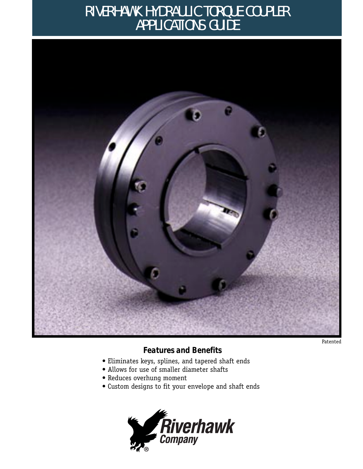# RIVERHAWK HYDRAULIC TORQUE COUPLER APPLICATIONS GUIDE



Patented

### *Features and Benefits*

- Eliminates keys, splines, and tapered shaft ends
- Allows for use of smaller diameter shafts
- Reduces overhung moment
- Custom designs to fit your envelope and shaft ends

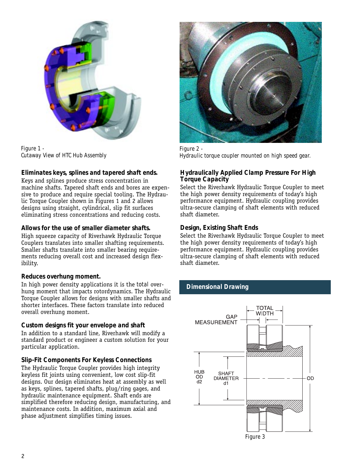

*Figure 1 - Cutaway View of HTC Hub Assembly*

### *Eliminates keys, splines and tapered shaft ends.*

Keys and splines produce stress concentration in machine shafts. Tapered shaft ends and bores are expensive to produce and require special tooling. The Hydraulic Torque Coupler shown in Figures 1 and 2 allows designs using straight, cylindrical, slip fit surfaces eliminating stress concentrations and reducing costs.

### *Allows for the use of smaller diameter shafts.*

High squeeze capacity of Riverhawk Hydraulic Torque Couplers translates into smaller shafting requirements. Smaller shafts translate into smaller bearing requirements reducing overall cost and increased design flexibility.

### *Reduces overhung moment.*

In high power density applications it is the *total* overhung moment that impacts rotordynamics. The Hydraulic Torque Coupler allows for designs with smaller shafts and shorter interfaces. These factors translate into reduced overall overhung moment.

### *Custom designs fit your envelope and shaft*

In addition to a standard line, Riverhawk will modify a standard product or engineer a custom solution for your particular application.

### *Slip-Fit Components For Keyless Connections*

The Hydraulic Torque Coupler provides high integrity keyless fit joints using convenient, low cost slip-fit designs. Our design eliminates heat at assembly as well as keys, splines, tapered shafts, plug/ring gages, and hydraulic maintenance equipment. Shaft ends are simplified therefore reducing design, manufacturing, and maintenance costs. In addition, maximum axial and phase adjustment simplifies timing issues.



*Figure 2 - Hydraulic torque coupler mounted on high speed gear.*

### *Hydraulically Applied Clamp Pressure For High Torque Capacity*

Select the Riverhawk Hydraulic Torque Coupler to meet the high power density requirements of today's high performance equipment. Hydraulic coupling provides ultra-secure clamping of shaft elements with reduced shaft diameter.

### *Design, Existing Shaft Ends*

Select the Riverhawk Hydraulic Torque Coupler to meet the high power density requirements of today's high performance equipment. Hydraulic coupling provides ultra-secure clamping of shaft elements with reduced shaft diameter.

### *Dimensional Drawing*

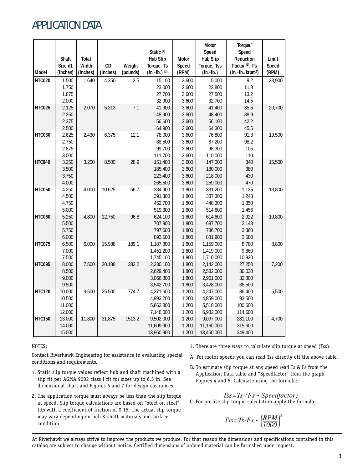# APPLICATION DATA

|               |          |          |          |          |                       |              | Motor           | Torque/                      |        |
|---------------|----------|----------|----------|----------|-----------------------|--------------|-----------------|------------------------------|--------|
|               |          |          |          |          | Static <sup>(1)</sup> |              | Speed           | Speed                        |        |
|               | Shaft    | Total    |          |          | <b>Hub Slip</b>       | <b>Motor</b> | <b>Hub Slip</b> | Reduction                    | Limit  |
|               | Size d1  | Width    | OD       | Weight   | Torque, Ts            | Speed        | Torque, Tss     | Factor <sup>(3)</sup> , Fs   | Speed  |
| Model         | (inches) | (inches) | (inches) | (pounds) | $(in.-lb.)$ (2)       | (RPM)        | $(in.-lb.)$     | (in.-lb./krpm <sup>2</sup> ) | (RPM)  |
| <b>HTC020</b> | 1.500    | 1.640    | 4.250    | 3.5      | 15,100                | 3,600        | 15,000          | 9.2                          | 23,900 |
|               | 1.750    |          |          |          | 23,000                | 3,600        | 22,800          | 11.8                         |        |
|               | 1.875    |          |          |          | 27,700                | 3,600        | 27,500          | 13.2                         |        |
|               | 2.000    |          |          |          | 32,900                | 3,600        | 32,700          | 14.5                         |        |
| <b>HTC025</b> | 2.125    | 2.070    | 5.313    | 7.1      | 41,900                | 3,600        | 41,400          | 35.5                         | 20,700 |
|               | 2.250    |          |          |          | 48,900                | 3,600        | 48,400          | 38.9                         |        |
|               | 2.375    |          |          |          | 56,600                | 3,600        | 56,100          | 42.2                         |        |
|               | 2.500    |          |          |          | 64,900                | 3,600        | 64,300          | 45.5                         |        |
| <b>HTC030</b> | 2.625    | 2.430    | 6.375    | 12.1     | 78,000                | 3,600        | 76,800          | 91.3                         | 19,500 |
|               | 2.750    |          |          |          | 88,500                | 3,600        | 87,200          | 98.2                         |        |
|               | 2.875    |          |          |          | 99,700                | 3,600        | 98,300          | 105                          |        |
|               | 3.000    |          |          |          | 111,700               | 3,600        | 110,000         | 110                          |        |
| <b>HTC040</b> | 3.250    | 3.200    | 8.500    | 28.9     | 151,400               | 3,600        | 147,000         | 340                          | 15,500 |
|               | 3.500    |          |          |          | 185,400               | 3,600        | 180,000         | 380                          |        |
|               | 3.750    |          |          |          | 223,400               | 3,600        | 218,000         | 430                          |        |
|               | 4.000    |          |          |          | 265,500               | 3,600        | 259,000         | 470                          |        |
| <b>HTC050</b> | 4.250    | 4.000    | 10.625   | 56.7     | 334,900               | 1,800        | 331,200         | 1,135                        | 13,800 |
|               | 4.500    |          |          |          | 391,300               | 1,800        | 387,300         | 1,243                        |        |
|               | 4.750    |          |          |          | 452,700               | 1,800        | 448,300         | 1,350                        |        |
|               | 5.000    |          |          |          | 519,300               | 1,800        | 514,600         | 1,456                        |        |
| <b>HTC060</b> | 5.250    | 4.800    | 12.750   | 96.8     | 624,100               | 1,800        | 614,600         | 2,922                        | 10,800 |
|               | 5.500    |          |          |          | 707,900               | 1,800        | 697,700         | 3,143                        |        |
|               | 5.750    |          |          |          | 797,600               | 1,800        | 786,700         | 3,360                        |        |
|               | 6.000    |          |          |          | 893,500               | 1,800        | 881,900         | 3,580                        |        |
| <b>HTC075</b> | 6.500    | 6.000    | 15.938   | 189.1    | 1,187,800             | 1,800        | 1,159,000       | 8,780                        | 8,800  |
|               | 7.000    |          |          |          | 1,451,200             | 1,800        | 1,419,000       | 9,860                        |        |
|               | 7.500    |          |          |          | 1,745,100             | 1,800        | 1,710,000       | 10,920                       |        |
| <b>HTC095</b> | 8.000    | 7.500    | 20.188   | 383.2    | 2,230,100             | 1,800        | 2,142,000       | 27,250                       | 7,200  |
|               | 8.500    |          |          |          | 2,629,400             | 1,800        | 2,532,000       | 30,030                       |        |
|               | 9.000    |          |          |          | 3,066,800             | 1,800        | 2,961,000       | 32,800                       |        |
|               | 9.500    |          |          |          | 3,542,700             | 1,800        | 3,428,000       | 35,500                       |        |
| <b>HTC120</b> | 10.000   | 9.500    | 25.500   | 774.7    | 4,371,600             | 1,200        | 4,247,000       | 86,400                       | 5,500  |
|               | 10.500   |          |          |          | 4,993,200             | 1,200        | 4,859,000       | 93,500                       |        |
|               | 11.000   |          |          |          | 5,662,800             | 1,200        | 5,518,000       | 100,600                      |        |
|               | 12.000   |          |          |          | 7,148,000             | 1,200        | 6,982,000       | 114,500                      |        |
| <b>HTC150</b> | 13.000   | 11.800   | 31.875   | 1513.2   | 9,502,000             | 1,200        | 9,097,000       | 281,100                      | 4,700  |
|               | 14.000   |          |          |          | 11,609,900            | 1,200        | 11,160,000      | 315,600                      |        |
|               | 15.000   |          |          |          | 13,960,900            | 1,200        | 13,460,000      | 349,400                      |        |

#### NOTES:

Contact Riverhawk Engineering for assistance in evaluating special conditions and requirements.

- 1. Static slip torque values reflect hub and shaft machined with a slip fit per AGMA 9002 class I fit for sizes up to 6.5 in. See dimensional chart and Figures 6 and 7 for design clearances.
- 2. The application torque must always be less than the slip torque at speed. Slip torque calculations are based on "steel on steel" fits with a coefficient of friction of 0.15. The actual slip torque may vary depending on hub & shaft materials and surface condition.
- 3. There are three ways to calculate slip torque at speed (Tss):
- A. For motor speeds you can read Tss directly off the above table.
- B. To estimate slip torque at any speed read Ts & Fs from the Application Data table and "Speedfactor" from the graph Figures 4 and 5. Calculate using the formula:

 $Tss = Ts-(Fs \cdot Speedfactor)$ C. For precise slip torque calculation apply the formula:

$$
Ts = Ts - Fs \cdot \left(\frac{RPM}{1000}\right)^2
$$

At Riverhawk we always strive to improve the products we produce. For that reason the dimensions and specifications contained in this catalog are subject to change without notice. Certified dimensions of ordered material can be furnished upon request.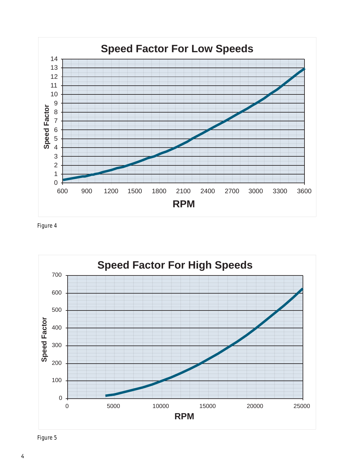

*Figure 4*



*Figure 5*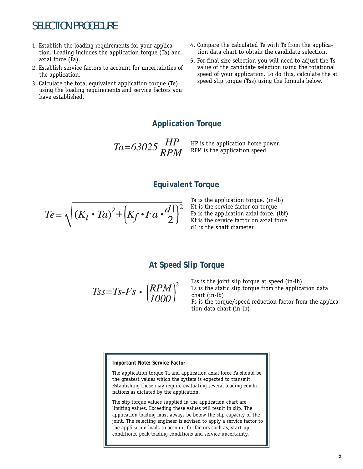## SELECTION PROCEDURE

- 1. Establish the loading requirements for your application. Loading includes the application torque (Ta) and axial force (Fa).
- 2. Establish service factors to account for uncertainties of the application.
- 3. Calculate the total equivalent application torque (Te) using the loading requirements and service factors you have established.
- 4. Compare the calculated Te with Ts from the application data chart to obtain the candidate selection.
- 5. For final size selection you will need to adjust the Ts value of the candidate selection using the rotational speed of your application. To do this, calculate the at speed slip torque (Tss) using the formula below.

### **Application Torque**

 $Ta=63025 \frac{HP}{RPM}$ HP is the application horse power. RPM is the application speed.

### **Equivalent Torque**

$$
Te = \sqrt{(K_t \cdot Ta)^2 + (K_f \cdot Fa \cdot \frac{d1}{2})^2}
$$

Ta is the application torque. (in-lb) Kt is the service factor on torque Fa is the application axial force. (lbf) Kf is the service factor on axial force. d1 is the shaft diameter.

### **At Speed Slip Torque**

$$
Ts = Ts - Fs \cdot \left(\frac{RPM}{1000}\right)^2
$$

Tss is the joint slip torque at speed (in-lb) Ts is the static slip torque from the application data chart (in-lb) Fs is the torque/speed reduction factor from the application data chart (in-lb)

#### *Important Note: Service Factor*

The application torque Ta and application axial force Fa should be the greatest values which the system is expected to transmit. Establishing these may require evaluating several loading combinations as dictated by the application.

The slip torque values supplied in the application chart are limiting values. Exceeding these values will result in slip. The application loading must always be below the slip capacity of the joint. The selecting engineer is advised to apply a service factor to the application loads to account for factors such as, start-up conditions, peak loading conditions and service uncertainty.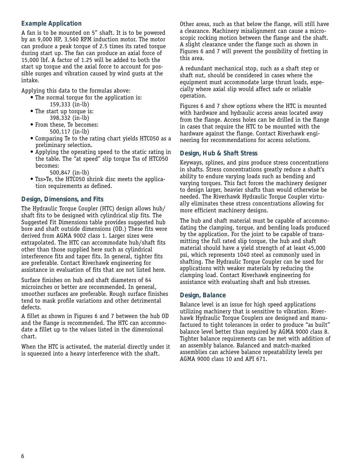### *Example Application*

A fan is to be mounted on 5" shaft. It is to be powered by an 9,000 HP, 3,560 RPM induction motor. The motor can produce a peak torque of 2.5 times its rated torque during start up. The fan can produce an axial force of 15,000 lbf. A factor of 1.25 will be added to both the start up torque and the axial force to account for possible surges and vibration caused by wind gusts at the intake.

Applying this data to the formulas above:

- The normal torque for the application is: 159,333 (in-lb)
- The start up torque is: 398,332 (in-lb)
- From these, Te becomes: 500,117 (in-lb)
- Comparing Te to the rating chart yields HTC050 as a preliminary selection.
- Applying the operating speed to the static rating in the table. The "at speed" slip torque Tss of HTC050 becomes:
	- 500,847 (in-lb)
- Tss>Te, the HTC050 shrink disc meets the application requirements as defined.

### *Design, Dimensions, and Fits*

The Hydraulic Torque Coupler (HTC) design allows hub/ shaft fits to be designed with cylindrical slip fits. The Suggested Fit Dimensions table provides suggested hub bore and shaft outside dimensions (OD.) These fits were derived from AGMA 9002 class 1. Larger sizes were extrapolated. The HTC can accommodate hub/shaft fits other than those supplied here such as cylindrical interference fits and taper fits. In general, tighter fits are preferable. Contact Riverhawk engineering for assistance in evaluation of fits that are not listed here.

Surface finishes on hub and shaft diameters of 64 microinches or better are recommended. In general, smoother surfaces are preferable. Rough surface finishes tend to mask profile variations and other detrimental defects.

A fillet as shown in Figures 6 and 7 between the hub OD and the flange is recommended. The HTC can accommodate a fillet up to the values listed in the dimensional chart.

When the HTC is activated, the material directly under it is squeezed into a heavy interference with the shaft.

Other areas, such as that below the flange, will still have a clearance. Machinery misalignment can cause a microscopic rocking motion between the flange and the shaft. A slight clearance under the flange such as shown in Figures 6 and 7 will prevent the possibility of fretting in this area.

A redundant mechanical stop, such as a shaft step or shaft nut, should be considered in cases where the equipment must accommodate large thrust loads, especially where axial slip would affect safe or reliable operation.

Figures 6 and 7 show options where the HTC is mounted with hardware and hydraulic access areas located away from the flange. Access holes can be drilled in the flange in cases that require the HTC to be mounted with the hardware against the flange. Contact Riverhawk engineering for recommendations for access solutions.

### *Design, Hub & Shaft Stress*

Keyways, splines, and pins produce stress concentrations in shafts. Stress concentrations greatly reduce a shaft's ability to endure varying loads such as bending and varying torques. This fact forces the machinery designer to design larger, heavier shafts than would otherwise be needed. The Riverhawk Hydraulic Torque Coupler virtually eliminates these stress concentrations allowing for more efficient machinery designs.

The hub and shaft material must be capable of accommodating the clamping, torque, and bending loads produced by the application. For the joint to be capable of transmitting the full rated slip torque, the hub and shaft material should have a yield strength of at least 45,000 psi, which represents 1040 steel as commonly used in shafting. The Hydraulic Torque Coupler can be used for applications with weaker materials by reducing the clamping load. Contact Riverhawk engineering for assistance with evaluating shaft and hub stresses.

### *Design, Balance*

Balance level is an issue for high speed applications utilizing machinery that is sensitive to vibration. Riverhawk Hydraulic Torque Couplers are designed and manufactured to tight tolerances in order to produce "as built" balance level better than required by AGMA 9000 class 8. Tighter balance requirements can be met with addition of an assembly balance. Balanced and match-marked assemblies can achieve balance repeatability levels per AGMA 9000 class 10 and API 671.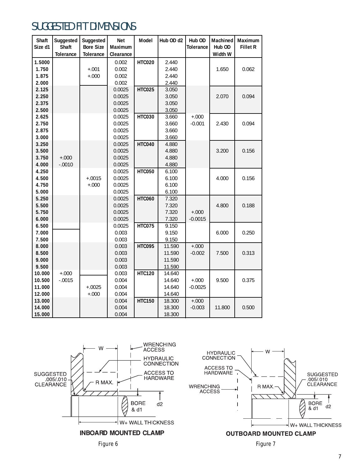# SUGGESTED FIT DIMENSIONS

| Shaft   | Suggested        | Suggested        | <b>Net</b> | Model         | Hub OD d2 | Hub OD           | Machined | Maximum         |
|---------|------------------|------------------|------------|---------------|-----------|------------------|----------|-----------------|
| Size d1 | Shaft            | <b>Bore Size</b> | Maximum    |               |           | <b>Tolerance</b> | Hub OD   | <b>Fillet R</b> |
|         | <b>Tolerance</b> | <b>Tolerance</b> | Clearance  |               |           |                  | Width W  |                 |
| 1.5000  |                  |                  | 0.002      | <b>HTC020</b> | 2.440     |                  |          |                 |
| 1.750   |                  | $+.001$          | 0.002      |               | 2.440     |                  | 1.650    | 0.062           |
| 1.875   |                  | $+.000$          | 0.002      |               | 2.440     |                  |          |                 |
| 2.000   |                  |                  | 0.002      |               | 2.440     |                  |          |                 |
| 2.125   |                  |                  | 0.0025     | <b>HTC025</b> | 3.050     |                  |          |                 |
| 2.250   |                  |                  | 0.0025     |               | 3.050     |                  | 2.070    | 0.094           |
| 2.375   |                  |                  | 0.0025     |               | 3.050     |                  |          |                 |
| 2.500   |                  |                  | 0.0025     |               | 3.050     |                  |          |                 |
| 2.625   |                  |                  | 0.0025     | <b>HTC030</b> | 3.660     | $+.000$          |          |                 |
| 2.750   |                  |                  | 0.0025     |               | 3.660     | $-0.001$         | 2.430    | 0.094           |
| 2.875   |                  |                  | 0.0025     |               | 3.660     |                  |          |                 |
| 3.000   |                  |                  | 0.0025     |               | 3.660     |                  |          |                 |
| 3.250   |                  |                  | 0.0025     | <b>HTC040</b> | 4.880     |                  |          |                 |
| 3.500   |                  |                  | 0.0025     |               | 4.880     |                  | 3.200    | 0.156           |
| 3.750   | $+.000$          |                  | 0.0025     |               | 4.880     |                  |          |                 |
| 4.000   | $-.0010$         |                  | 0.0025     |               | 4.880     |                  |          |                 |
| 4.250   |                  |                  | 0.0025     | <b>HTC050</b> | 6.100     |                  |          |                 |
| 4.500   |                  | $+.0015$         | 0.0025     |               | 6.100     |                  | 4.000    | 0.156           |
| 4.750   |                  | $+.000$          | 0.0025     |               | 6.100     |                  |          |                 |
| 5.000   |                  |                  | 0.0025     |               | 6.100     |                  |          |                 |
| 5.250   |                  |                  | 0.0025     | <b>HTC060</b> | 7.320     |                  |          |                 |
| 5.500   |                  |                  | 0.0025     |               | 7.320     |                  | 4.800    | 0.188           |
| 5.750   |                  |                  | 0.0025     |               | 7.320     | $+.000$          |          |                 |
| 6.000   |                  |                  | 0.0025     |               | 7.320     | $-0.0015$        |          |                 |
| 6.500   |                  |                  | 0.0025     | <b>HTC075</b> | 9.150     |                  |          |                 |
| 7.000   |                  |                  | 0.003      |               | 9.150     |                  | 6.000    | 0.250           |
| 7.500   |                  |                  | 0.003      |               | 9.150     |                  |          |                 |
| 8.000   |                  |                  | 0.003      | <b>HTC095</b> | 11.590    | $+.000$          |          |                 |
| 8.500   |                  |                  | 0.003      |               | 11.590    | $-0.002$         | 7.500    | 0.313           |
| 9.000   |                  |                  | 0.003      |               | 11.590    |                  |          |                 |
| 9.500   |                  |                  | 0.003      |               | 11.590    |                  |          |                 |
| 10.000  | $+.000$          |                  | 0.003      | <b>HTC120</b> | 14.640    |                  |          |                 |
| 10.500  | $-.0015$         |                  | 0.004      |               | 14.640    | $+.000$          | 9.500    | 0.375           |
| 11.000  |                  | $+.0025$         | 0.004      |               | 14.640    | $-0.0025$        |          |                 |
| 12.000  |                  | $+.000$          | 0.004      |               | 14.640    |                  |          |                 |
| 13.000  |                  |                  | 0.004      | <b>HTC150</b> | 18.300    | $+.000$          |          |                 |
| 14.000  |                  |                  | 0.004      |               | 18.300    | $-0.003$         | 11.800   | 0.500           |
| 15.000  |                  |                  | 0.004      |               | 18.300    |                  |          |                 |





*Figure 6* Figure 7